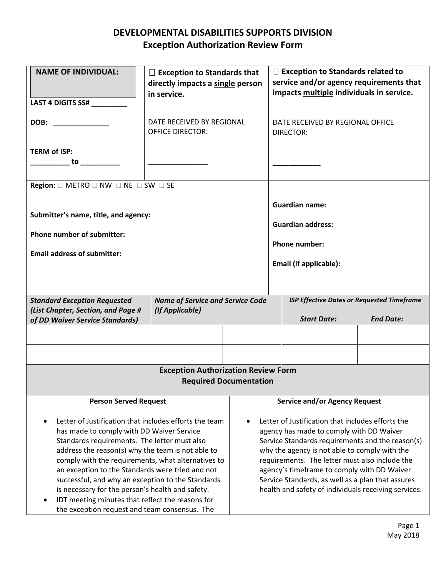## **DEVELOPMENTAL DISABILITIES SUPPORTS DIVISION Exception Authorization Review Form**

| <b>NAME OF INDIVIDUAL:</b>                                                                                                                                                                                                                                                                                                                                                                                                                                                                                                                                 | $\Box$ Exception to Standards that<br>directly impacts a single person<br>in service. |                                         | $\Box$ Exception to Standards related to<br>service and/or agency requirements that<br>impacts multiple individuals in service.                                                                                                                                                                                                                                                                                  |                                                   |                                                   |  |  |
|------------------------------------------------------------------------------------------------------------------------------------------------------------------------------------------------------------------------------------------------------------------------------------------------------------------------------------------------------------------------------------------------------------------------------------------------------------------------------------------------------------------------------------------------------------|---------------------------------------------------------------------------------------|-----------------------------------------|------------------------------------------------------------------------------------------------------------------------------------------------------------------------------------------------------------------------------------------------------------------------------------------------------------------------------------------------------------------------------------------------------------------|---------------------------------------------------|---------------------------------------------------|--|--|
| LAST 4 DIGITS SS#                                                                                                                                                                                                                                                                                                                                                                                                                                                                                                                                          |                                                                                       |                                         |                                                                                                                                                                                                                                                                                                                                                                                                                  |                                                   |                                                   |  |  |
| DOB:                                                                                                                                                                                                                                                                                                                                                                                                                                                                                                                                                       | DATE RECEIVED BY REGIONAL<br><b>OFFICE DIRECTOR:</b>                                  |                                         |                                                                                                                                                                                                                                                                                                                                                                                                                  | DATE RECEIVED BY REGIONAL OFFICE<br>DIRECTOR:     |                                                   |  |  |
| <b>TERM of ISP:</b><br>to __________                                                                                                                                                                                                                                                                                                                                                                                                                                                                                                                       |                                                                                       |                                         |                                                                                                                                                                                                                                                                                                                                                                                                                  |                                                   |                                                   |  |  |
| <b>Region:</b> $\Box$ METRO $\Box$ NW $\Box$ NE $\Box$ SW $\Box$ SE                                                                                                                                                                                                                                                                                                                                                                                                                                                                                        |                                                                                       |                                         |                                                                                                                                                                                                                                                                                                                                                                                                                  |                                                   |                                                   |  |  |
| Submitter's name, title, and agency:                                                                                                                                                                                                                                                                                                                                                                                                                                                                                                                       |                                                                                       |                                         |                                                                                                                                                                                                                                                                                                                                                                                                                  | <b>Guardian name:</b><br><b>Guardian address:</b> |                                                   |  |  |
| Phone number of submitter:<br><b>Email address of submitter:</b>                                                                                                                                                                                                                                                                                                                                                                                                                                                                                           |                                                                                       |                                         | <b>Phone number:</b>                                                                                                                                                                                                                                                                                                                                                                                             |                                                   |                                                   |  |  |
|                                                                                                                                                                                                                                                                                                                                                                                                                                                                                                                                                            |                                                                                       |                                         |                                                                                                                                                                                                                                                                                                                                                                                                                  |                                                   |                                                   |  |  |
|                                                                                                                                                                                                                                                                                                                                                                                                                                                                                                                                                            |                                                                                       |                                         | Email (if applicable):                                                                                                                                                                                                                                                                                                                                                                                           |                                                   |                                                   |  |  |
|                                                                                                                                                                                                                                                                                                                                                                                                                                                                                                                                                            |                                                                                       |                                         |                                                                                                                                                                                                                                                                                                                                                                                                                  |                                                   |                                                   |  |  |
| <b>Standard Exception Requested</b>                                                                                                                                                                                                                                                                                                                                                                                                                                                                                                                        |                                                                                       | <b>Name of Service and Service Code</b> |                                                                                                                                                                                                                                                                                                                                                                                                                  |                                                   | <b>ISP Effective Dates or Requested Timeframe</b> |  |  |
| (List Chapter, Section, and Page #<br>of DD Waiver Service Standards)                                                                                                                                                                                                                                                                                                                                                                                                                                                                                      | (If Applicable)                                                                       |                                         |                                                                                                                                                                                                                                                                                                                                                                                                                  | <b>Start Date:</b>                                | <b>End Date:</b>                                  |  |  |
|                                                                                                                                                                                                                                                                                                                                                                                                                                                                                                                                                            |                                                                                       |                                         |                                                                                                                                                                                                                                                                                                                                                                                                                  |                                                   |                                                   |  |  |
|                                                                                                                                                                                                                                                                                                                                                                                                                                                                                                                                                            |                                                                                       |                                         |                                                                                                                                                                                                                                                                                                                                                                                                                  |                                                   |                                                   |  |  |
|                                                                                                                                                                                                                                                                                                                                                                                                                                                                                                                                                            |                                                                                       |                                         |                                                                                                                                                                                                                                                                                                                                                                                                                  |                                                   |                                                   |  |  |
| <b>Exception Authorization Review Form</b>                                                                                                                                                                                                                                                                                                                                                                                                                                                                                                                 |                                                                                       |                                         |                                                                                                                                                                                                                                                                                                                                                                                                                  |                                                   |                                                   |  |  |
| <b>Required Documentation</b>                                                                                                                                                                                                                                                                                                                                                                                                                                                                                                                              |                                                                                       |                                         |                                                                                                                                                                                                                                                                                                                                                                                                                  |                                                   |                                                   |  |  |
| <b>Person Served Request</b>                                                                                                                                                                                                                                                                                                                                                                                                                                                                                                                               |                                                                                       |                                         |                                                                                                                                                                                                                                                                                                                                                                                                                  | <b>Service and/or Agency Request</b>              |                                                   |  |  |
| Letter of Justification that includes efforts the team<br>$\bullet$<br>has made to comply with DD Waiver Service<br>Standards requirements. The letter must also<br>address the reason(s) why the team is not able to<br>comply with the requirements, what alternatives to<br>an exception to the Standards were tried and not<br>successful, and why an exception to the Standards<br>is necessary for the person's health and safety.<br>IDT meeting minutes that reflect the reasons for<br>$\bullet$<br>the exception request and team consensus. The |                                                                                       |                                         | Letter of Justification that includes efforts the<br>agency has made to comply with DD Waiver<br>Service Standards requirements and the reason(s)<br>why the agency is not able to comply with the<br>requirements. The letter must also include the<br>agency's timeframe to comply with DD Waiver<br>Service Standards, as well as a plan that assures<br>health and safety of individuals receiving services. |                                                   |                                                   |  |  |